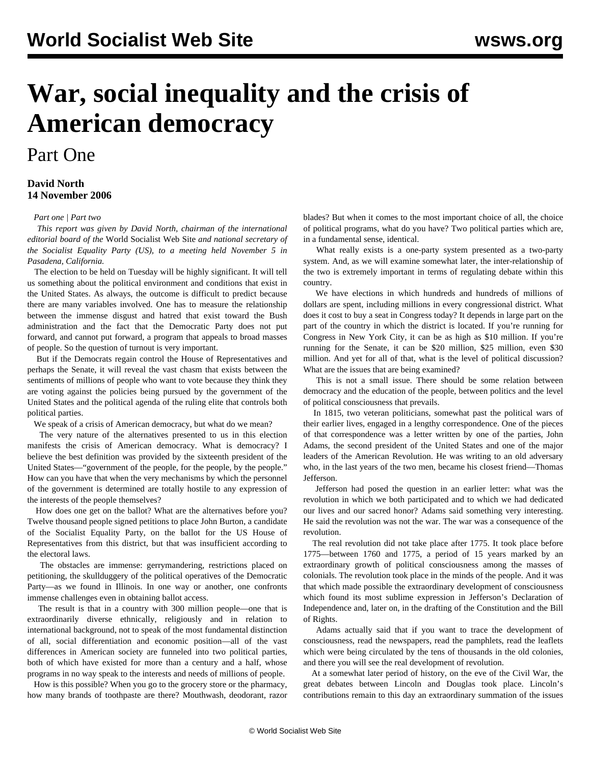# **War, social inequality and the crisis of American democracy**

# Part One

# **David North 14 November 2006**

## *[Part one](/en/articles/2006/11/dn1-n14.html) | [Part two](/en/articles/2006/11/dn2-n15.html)*

 *This report was given by David North, chairman of the international editorial board of the* World Socialist Web Site *and national secretary of the Socialist Equality Party (US), to a meeting held November 5 in Pasadena, California.*

 The election to be held on Tuesday will be highly significant. It will tell us something about the political environment and conditions that exist in the United States. As always, the outcome is difficult to predict because there are many variables involved. One has to measure the relationship between the immense disgust and hatred that exist toward the Bush administration and the fact that the Democratic Party does not put forward, and cannot put forward, a program that appeals to broad masses of people. So the question of turnout is very important.

 But if the Democrats regain control the House of Representatives and perhaps the Senate, it will reveal the vast chasm that exists between the sentiments of millions of people who want to vote because they think they are voting against the policies being pursued by the government of the United States and the political agenda of the ruling elite that controls both political parties.

We speak of a crisis of American democracy, but what do we mean?

 The very nature of the alternatives presented to us in this election manifests the crisis of American democracy. What is democracy? I believe the best definition was provided by the sixteenth president of the United States—"government of the people, for the people, by the people." How can you have that when the very mechanisms by which the personnel of the government is determined are totally hostile to any expression of the interests of the people themselves?

 How does one get on the ballot? What are the alternatives before you? Twelve thousand people signed petitions to place John Burton, a candidate of the Socialist Equality Party, on the ballot for the US House of Representatives from this district, but that was insufficient according to the electoral laws.

 The obstacles are immense: gerrymandering, restrictions placed on petitioning, the skullduggery of the political operatives of the Democratic Party—as we found in Illinois. In one way or another, one confronts immense challenges even in obtaining ballot access.

 The result is that in a country with 300 million people—one that is extraordinarily diverse ethnically, religiously and in relation to international background, not to speak of the most fundamental distinction of all, social differentiation and economic position—all of the vast differences in American society are funneled into two political parties, both of which have existed for more than a century and a half, whose programs in no way speak to the interests and needs of millions of people.

 How is this possible? When you go to the grocery store or the pharmacy, how many brands of toothpaste are there? Mouthwash, deodorant, razor blades? But when it comes to the most important choice of all, the choice of political programs, what do you have? Two political parties which are, in a fundamental sense, identical.

 What really exists is a one-party system presented as a two-party system. And, as we will examine somewhat later, the inter-relationship of the two is extremely important in terms of regulating debate within this country.

 We have elections in which hundreds and hundreds of millions of dollars are spent, including millions in every congressional district. What does it cost to buy a seat in Congress today? It depends in large part on the part of the country in which the district is located. If you're running for Congress in New York City, it can be as high as \$10 million. If you're running for the Senate, it can be \$20 million, \$25 million, even \$30 million. And yet for all of that, what is the level of political discussion? What are the issues that are being examined?

 This is not a small issue. There should be some relation between democracy and the education of the people, between politics and the level of political consciousness that prevails.

 In 1815, two veteran politicians, somewhat past the political wars of their earlier lives, engaged in a lengthy correspondence. One of the pieces of that correspondence was a letter written by one of the parties, John Adams, the second president of the United States and one of the major leaders of the American Revolution. He was writing to an old adversary who, in the last years of the two men, became his closest friend—Thomas Jefferson.

 Jefferson had posed the question in an earlier letter: what was the revolution in which we both participated and to which we had dedicated our lives and our sacred honor? Adams said something very interesting. He said the revolution was not the war. The war was a consequence of the revolution.

 The real revolution did not take place after 1775. It took place before 1775—between 1760 and 1775, a period of 15 years marked by an extraordinary growth of political consciousness among the masses of colonials. The revolution took place in the minds of the people. And it was that which made possible the extraordinary development of consciousness which found its most sublime expression in Jefferson's Declaration of Independence and, later on, in the drafting of the Constitution and the Bill of Rights.

 Adams actually said that if you want to trace the development of consciousness, read the newspapers, read the pamphlets, read the leaflets which were being circulated by the tens of thousands in the old colonies, and there you will see the real development of revolution.

 At a somewhat later period of history, on the eve of the Civil War, the great debates between Lincoln and Douglas took place. Lincoln's contributions remain to this day an extraordinary summation of the issues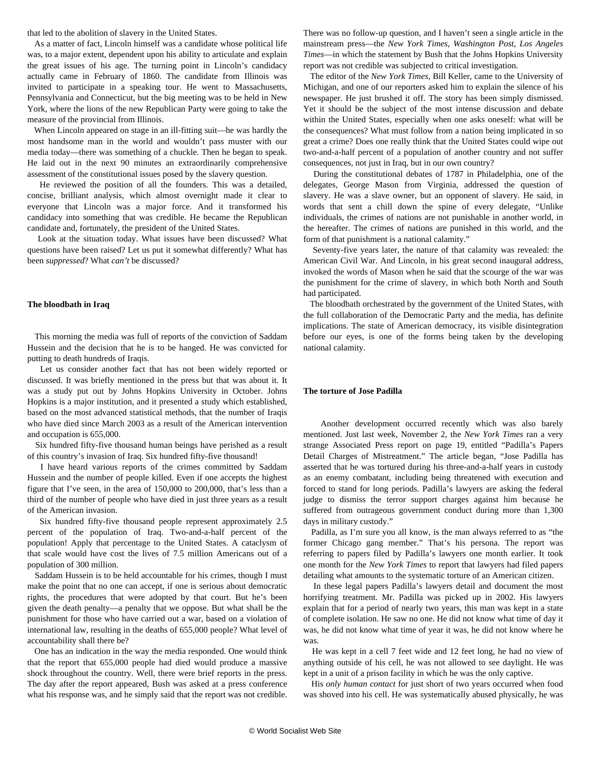that led to the abolition of slavery in the United States.

 As a matter of fact, Lincoln himself was a candidate whose political life was, to a major extent, dependent upon his ability to articulate and explain the great issues of his age. The turning point in Lincoln's candidacy actually came in February of 1860. The candidate from Illinois was invited to participate in a speaking tour. He went to Massachusetts, Pennsylvania and Connecticut, but the big meeting was to be held in New York, where the lions of the new Republican Party were going to take the measure of the provincial from Illinois.

 When Lincoln appeared on stage in an ill-fitting suit—he was hardly the most handsome man in the world and wouldn't pass muster with our media today—there was something of a chuckle. Then he began to speak. He laid out in the next 90 minutes an extraordinarily comprehensive assessment of the constitutional issues posed by the slavery question.

 He reviewed the position of all the founders. This was a detailed, concise, brilliant analysis, which almost overnight made it clear to everyone that Lincoln was a major force. And it transformed his candidacy into something that was credible. He became the Republican candidate and, fortunately, the president of the United States.

 Look at the situation today. What issues have been discussed? What questions have been raised? Let us put it somewhat differently? What has been *suppressed*? What *can't* be discussed?

#### **The bloodbath in Iraq**

 This morning the media was full of reports of the conviction of Saddam Hussein and the decision that he is to be hanged. He was convicted for putting to death hundreds of Iraqis.

 Let us consider another fact that has not been widely reported or discussed. It was briefly mentioned in the press but that was about it. It was a study put out by Johns Hopkins University in October. Johns Hopkins is a major institution, and it presented a study which established, based on the most advanced statistical methods, that the number of Iraqis who have died since March 2003 as a result of the American intervention and occupation is 655,000.

 Six hundred fifty-five thousand human beings have perished as a result of this country's invasion of Iraq. Six hundred fifty-five thousand!

 I have heard various reports of the crimes committed by Saddam Hussein and the number of people killed. Even if one accepts the highest figure that I've seen, in the area of 150,000 to 200,000, that's less than a third of the number of people who have died in just three years as a result of the American invasion.

 Six hundred fifty-five thousand people represent approximately 2.5 percent of the population of Iraq. Two-and-a-half percent of the population! Apply that percentage to the United States. A cataclysm of that scale would have cost the lives of 7.5 million Americans out of a population of 300 million.

 Saddam Hussein is to be held accountable for his crimes, though I must make the point that no one can accept, if one is serious about democratic rights, the procedures that were adopted by that court. But he's been given the death penalty—a penalty that we oppose. But what shall be the punishment for those who have carried out a war, based on a violation of international law, resulting in the deaths of 655,000 people? What level of accountability shall there be?

 One has an indication in the way the media responded. One would think that the report that 655,000 people had died would produce a massive shock throughout the country. Well, there were brief reports in the press. The day after the report appeared, Bush was asked at a press conference what his response was, and he simply said that the report was not credible. There was no follow-up question, and I haven't seen a single article in the mainstream press—the *New York Times*, *Washington Post*, *Los Angeles Times*—in which the statement by Bush that the Johns Hopkins University report was not credible was subjected to critical investigation.

 The editor of the *New York Times*, Bill Keller, came to the University of Michigan, and one of our reporters asked him to explain the silence of his newspaper. He just brushed it off. The story has been simply dismissed. Yet it should be the subject of the most intense discussion and debate within the United States, especially when one asks oneself: what will be the consequences? What must follow from a nation being implicated in so great a crime? Does one really think that the United States could wipe out two-and-a-half percent of a population of another country and not suffer consequences, not just in Iraq, but in our own country?

 During the constitutional debates of 1787 in Philadelphia, one of the delegates, George Mason from Virginia, addressed the question of slavery. He was a slave owner, but an opponent of slavery. He said, in words that sent a chill down the spine of every delegate, "Unlike individuals, the crimes of nations are not punishable in another world, in the hereafter. The crimes of nations are punished in this world, and the form of that punishment is a national calamity."

 Seventy-five years later, the nature of that calamity was revealed: the American Civil War. And Lincoln, in his great second inaugural address, invoked the words of Mason when he said that the scourge of the war was the punishment for the crime of slavery, in which both North and South had participated.

 The bloodbath orchestrated by the government of the United States, with the full collaboration of the Democratic Party and the media, has definite implications. The state of American democracy, its visible disintegration before our eyes, is one of the forms being taken by the developing national calamity.

### **The torture of Jose Padilla**

 Another development occurred recently which was also barely mentioned. Just last week, November 2, the *New York Times* ran a very strange Associated Press report on page 19, entitled "Padilla's Papers Detail Charges of Mistreatment." The article began, "Jose Padilla has asserted that he was tortured during his three-and-a-half years in custody as an enemy combatant, including being threatened with execution and forced to stand for long periods. Padilla's lawyers are asking the federal judge to dismiss the terror support charges against him because he suffered from outrageous government conduct during more than 1,300 days in military custody."

 Padilla, as I'm sure you all know, is the man always referred to as "the former Chicago gang member." That's his persona. The report was referring to papers filed by Padilla's lawyers one month earlier. It took one month for the *New York Times* to report that lawyers had filed papers detailing what amounts to the systematic torture of an American citizen.

 In these legal papers Padilla's lawyers detail and document the most horrifying treatment. Mr. Padilla was picked up in 2002. His lawyers explain that for a period of nearly two years, this man was kept in a state of complete isolation. He saw no one. He did not know what time of day it was, he did not know what time of year it was, he did not know where he was.

 He was kept in a cell 7 feet wide and 12 feet long, he had no view of anything outside of his cell, he was not allowed to see daylight. He was kept in a unit of a prison facility in which he was the only captive.

 His *only human contact* for just short of two years occurred when food was shoved into his cell. He was systematically abused physically, he was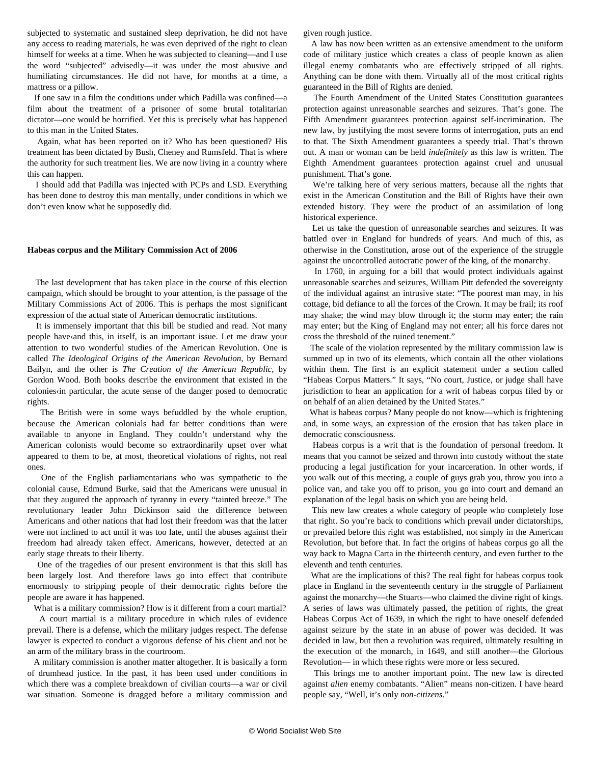subjected to systematic and sustained sleep deprivation, he did not have any access to reading materials, he was even deprived of the right to clean himself for weeks at a time. When he was subjected to cleaning—and I use the word "subjected" advisedly—it was under the most abusive and humiliating circumstances. He did not have, for months at a time, a mattress or a pillow.

 If one saw in a film the conditions under which Padilla was confined—a film about the treatment of a prisoner of some brutal totalitarian dictator—one would be horrified. Yet this is precisely what has happened to this man in the United States.

 Again, what has been reported on it? Who has been questioned? His treatment has been dictated by Bush, Cheney and Rumsfeld. That is where the authority for such treatment lies. We are now living in a country where this can happen.

 I should add that Padilla was injected with PCPs and LSD. Everything has been done to destroy this man mentally, under conditions in which we don't even know what he supposedly did.

#### **Habeas corpus and the Military Commission Act of 2006**

 The last development that has taken place in the course of this election campaign, which should be brought to your attention, is the passage of the Military Commissions Act of 2006. This is perhaps the most significant expression of the actual state of American democratic institutions.

 It is immensely important that this bill be studied and read. Not many people have‹and this, in itself, is an important issue. Let me draw your attention to two wonderful studies of the American Revolution. One is called *The Ideological Origins of the American Revolution*, by Bernard Bailyn, and the other is *The Creation of the American Republic*, by Gordon Wood. Both books describe the environment that existed in the colonies in particular, the acute sense of the danger posed to democratic rights.

 The British were in some ways befuddled by the whole eruption, because the American colonials had far better conditions than were available to anyone in England. They couldn't understand why the American colonists would become so extraordinarily upset over what appeared to them to be, at most, theoretical violations of rights, not real ones.

 One of the English parliamentarians who was sympathetic to the colonial cause, Edmund Burke, said that the Americans were unusual in that they augured the approach of tyranny in every "tainted breeze." The revolutionary leader John Dickinson said the difference between Americans and other nations that had lost their freedom was that the latter were not inclined to act until it was too late, until the abuses against their freedom had already taken effect. Americans, however, detected at an early stage threats to their liberty.

 One of the tragedies of our present environment is that this skill has been largely lost. And therefore laws go into effect that contribute enormously to stripping people of their democratic rights before the people are aware it has happened.

What is a military commission? How is it different from a court martial?

 A court martial is a military procedure in which rules of evidence prevail. There is a defense, which the military judges respect. The defense lawyer is expected to conduct a vigorous defense of his client and not be an arm of the military brass in the courtroom.

 A military commission is another matter altogether. It is basically a form of drumhead justice. In the past, it has been used under conditions in which there was a complete breakdown of civilian courts—a war or civil war situation. Someone is dragged before a military commission and given rough justice.

 A law has now been written as an extensive amendment to the uniform code of military justice which creates a class of people known as alien illegal enemy combatants who are effectively stripped of all rights. Anything can be done with them. Virtually all of the most critical rights guaranteed in the Bill of Rights are denied.

 The Fourth Amendment of the United States Constitution guarantees protection against unreasonable searches and seizures. That's gone. The Fifth Amendment guarantees protection against self-incrimination. The new law, by justifying the most severe forms of interrogation, puts an end to that. The Sixth Amendment guarantees a speedy trial. That's thrown out. A man or woman can be held *indefinitely* as this law is written. The Eighth Amendment guarantees protection against cruel and unusual punishment. That's gone.

 We're talking here of very serious matters, because all the rights that exist in the American Constitution and the Bill of Rights have their own extended history. They were the product of an assimilation of long historical experience.

 Let us take the question of unreasonable searches and seizures. It was battled over in England for hundreds of years. And much of this, as otherwise in the Constitution, arose out of the experience of the struggle against the uncontrolled autocratic power of the king, of the monarchy.

 In 1760, in arguing for a bill that would protect individuals against unreasonable searches and seizures, William Pitt defended the sovereignty of the individual against an intrusive state: "The poorest man may, in his cottage, bid defiance to all the forces of the Crown. It may be frail; its roof may shake; the wind may blow through it; the storm may enter; the rain may enter; but the King of England may not enter; all his force dares not cross the threshold of the ruined tenement."

 The scale of the violation represented by the military commission law is summed up in two of its elements, which contain all the other violations within them. The first is an explicit statement under a section called "Habeas Corpus Matters." It says, "No court, Justice, or judge shall have jurisdiction to hear an application for a writ of habeas corpus filed by or on behalf of an alien detained by the United States."

 What is habeas corpus? Many people do not know—which is frightening and, in some ways, an expression of the erosion that has taken place in democratic consciousness.

 Habeas corpus is a writ that is the foundation of personal freedom. It means that you cannot be seized and thrown into custody without the state producing a legal justification for your incarceration. In other words, if you walk out of this meeting, a couple of guys grab you, throw you into a police van, and take you off to prison, you go into court and demand an explanation of the legal basis on which you are being held.

 This new law creates a whole category of people who completely lose that right. So you're back to conditions which prevail under dictatorships, or prevailed before this right was established, not simply in the American Revolution, but before that. In fact the origins of habeas corpus go all the way back to Magna Carta in the thirteenth century, and even further to the eleventh and tenth centuries.

 What are the implications of this? The real fight for habeas corpus took place in England in the seventeenth century in the struggle of Parliament against the monarchy—the Stuarts—who claimed the divine right of kings. A series of laws was ultimately passed, the petition of rights, the great Habeas Corpus Act of 1639, in which the right to have oneself defended against seizure by the state in an abuse of power was decided. It was decided in law, but then a revolution was required, ultimately resulting in the execution of the monarch, in 1649, and still another—the Glorious Revolution— in which these rights were more or less secured.

 This brings me to another important point. The new law is directed against *alien* enemy combatants. "Alien" means non-citizen. I have heard people say, "Well, it's only *non-citizens*."